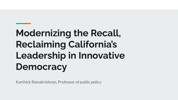# **Modernizing the Recall, Reclaiming California's Leadership in Innovative Democracy**

Karthick Ramakrishnan, Professor of public policy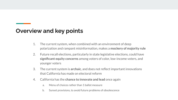## **Overview and key points**

- 1. The current system, when combined with an environment of deep polarization and rampant misinformation, makes a **mockery of majority rule**
- 2. Future recall elections, particularly in state legislative elections, could have **significant equity concerns** among voters of color, low-income voters, and younger voters
- 3. The current system is **archaic**, and does not reflect important innovations that California has made on electoral reform
- 4. California has the **chance to innovate and lead** once again
	- a. Menu of choices rather than 1 ballot measure
	- b. Sunset provisions, to avoid future problems of obsolescence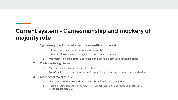# **Current system - Gamesmanship and mockery of majority rule**

- **1. Signature gathering requirements are sensitive to context**
	- a. Intense party polarization (including within party)
	- b. Intensification of opinion through social media echo chambers
	- c. Misinformation and disinformation can play a big role in signature gathering phase

## **2. Costs can be significant**

- a. Monetary costs for more frequent elections
- b. Free-for-all dynamic might force candidates to jump in, hurting chances in future elections

### **3. Mockery of majority rule**

- a. Limits ability of representatives to enact the will of electoral majorities
- b. Possible for incumbent with 45% to 49% support to lose, and be replaced by someone with support below 30%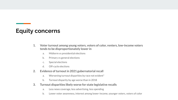# **Equity concerns**

- **1. Voter turnout among young voters, voters of color, renters, low-income voters tends to be disproportionately lower in**
	- a. Midterm vs presidential elections
	- b. Primary vs general elections
	- c. Special elections
	- d. Off-cycle elections
- **2. Evidence of turnout in 2021 gubernatorial recall**
	- a. Worsening turnout disparities by race not evident\*
	- b. Turnout disparity by age worse than in 2018
- **3. Turnout disparities likely worse for state legislative recalls**
	- a. Less news coverage, less advertising, less spending
	- b. Lower voter awareness, interest among lower-income, younger voters, voters of color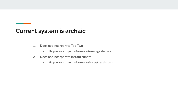## **Current system is archaic**

- **1. Does not incorporate Top Two**
	- a. Helps ensure majoritarian rule in two-stage elections
- **2. Does not incorporate instant runoff**
	- a. Helps ensure majoritarian rule in single-stage elections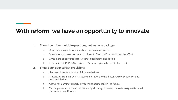# **With reform, we have an opportunity to innovate**

### **1. Should consider multiple questions, not just one package**

- a. Uncertainty in public opinion about particular provisions
- b. One unpopular provision (now, or closer to Election Day) could sink the effort
- c. Gives more opportunities for voters to deliberate and decide
- d. In the spirit of 1911 (23 provisions, 22 passed given the spirit of reform)

#### **2. Should consider sunset provisions**

- a. Has been done for statutory initiatives before
- b. Prevents us from burdening future generations with unintended consequences and outdated designs
- c. Allows for learning, opportunity to make permanent in the future
- d. Can help ease anxiety and reluctance by allowing for reversion to status quo after a set time period, say 10 years